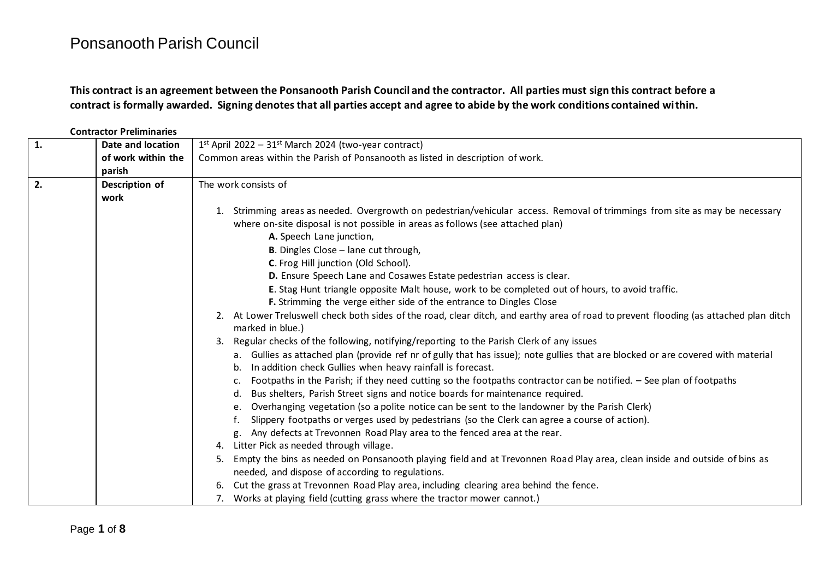**This contract is an agreement between the Ponsanooth Parish Council and the contractor. All parties must sign this contract before a contract is formally awarded. Signing denotes that all parties accept and agree to abide by the work conditions contained within.**

|    | <b>Contractor Preliminaries</b> |                                                                                                                                                                                                           |  |  |  |  |  |  |
|----|---------------------------------|-----------------------------------------------------------------------------------------------------------------------------------------------------------------------------------------------------------|--|--|--|--|--|--|
| 1. | Date and location               | $1st$ April 2022 - 31 <sup>st</sup> March 2024 (two-year contract)                                                                                                                                        |  |  |  |  |  |  |
|    | of work within the              | Common areas within the Parish of Ponsanooth as listed in description of work.                                                                                                                            |  |  |  |  |  |  |
|    | parish                          |                                                                                                                                                                                                           |  |  |  |  |  |  |
| 2. | Description of                  | The work consists of                                                                                                                                                                                      |  |  |  |  |  |  |
|    | work                            |                                                                                                                                                                                                           |  |  |  |  |  |  |
|    |                                 | Strimming areas as needed. Overgrowth on pedestrian/vehicular access. Removal of trimmings from site as may be necessary                                                                                  |  |  |  |  |  |  |
|    |                                 | where on-site disposal is not possible in areas as follows (see attached plan)                                                                                                                            |  |  |  |  |  |  |
|    |                                 | A. Speech Lane junction,                                                                                                                                                                                  |  |  |  |  |  |  |
|    |                                 | <b>B.</b> Dingles Close - lane cut through,                                                                                                                                                               |  |  |  |  |  |  |
|    |                                 | C. Frog Hill junction (Old School).                                                                                                                                                                       |  |  |  |  |  |  |
|    |                                 | D. Ensure Speech Lane and Cosawes Estate pedestrian access is clear.                                                                                                                                      |  |  |  |  |  |  |
|    |                                 | E. Stag Hunt triangle opposite Malt house, work to be completed out of hours, to avoid traffic.                                                                                                           |  |  |  |  |  |  |
|    |                                 | F. Strimming the verge either side of the entrance to Dingles Close                                                                                                                                       |  |  |  |  |  |  |
|    |                                 | 2. At Lower Treluswell check both sides of the road, clear ditch, and earthy area of road to prevent flooding (as attached plan ditch<br>marked in blue.)                                                 |  |  |  |  |  |  |
|    |                                 | Regular checks of the following, notifying/reporting to the Parish Clerk of any issues                                                                                                                    |  |  |  |  |  |  |
|    |                                 | a. Gullies as attached plan (provide ref nr of gully that has issue); note gullies that are blocked or are covered with material<br>In addition check Gullies when heavy rainfall is forecast.<br>b.      |  |  |  |  |  |  |
|    |                                 | Footpaths in the Parish; if they need cutting so the footpaths contractor can be notified. - See plan of footpaths<br>Bus shelters, Parish Street signs and notice boards for maintenance required.<br>d. |  |  |  |  |  |  |
|    |                                 | Overhanging vegetation (so a polite notice can be sent to the landowner by the Parish Clerk)                                                                                                              |  |  |  |  |  |  |
|    |                                 | Slippery footpaths or verges used by pedestrians (so the Clerk can agree a course of action).                                                                                                             |  |  |  |  |  |  |
|    |                                 | Any defects at Trevonnen Road Play area to the fenced area at the rear.<br>g.                                                                                                                             |  |  |  |  |  |  |
|    |                                 | Litter Pick as needed through village.<br>4.                                                                                                                                                              |  |  |  |  |  |  |
|    |                                 | Empty the bins as needed on Ponsanooth playing field and at Trevonnen Road Play area, clean inside and outside of bins as<br>5.                                                                           |  |  |  |  |  |  |
|    |                                 | needed, and dispose of according to regulations.                                                                                                                                                          |  |  |  |  |  |  |
|    |                                 | Cut the grass at Trevonnen Road Play area, including clearing area behind the fence.<br>6.                                                                                                                |  |  |  |  |  |  |
|    |                                 | 7. Works at playing field (cutting grass where the tractor mower cannot.)                                                                                                                                 |  |  |  |  |  |  |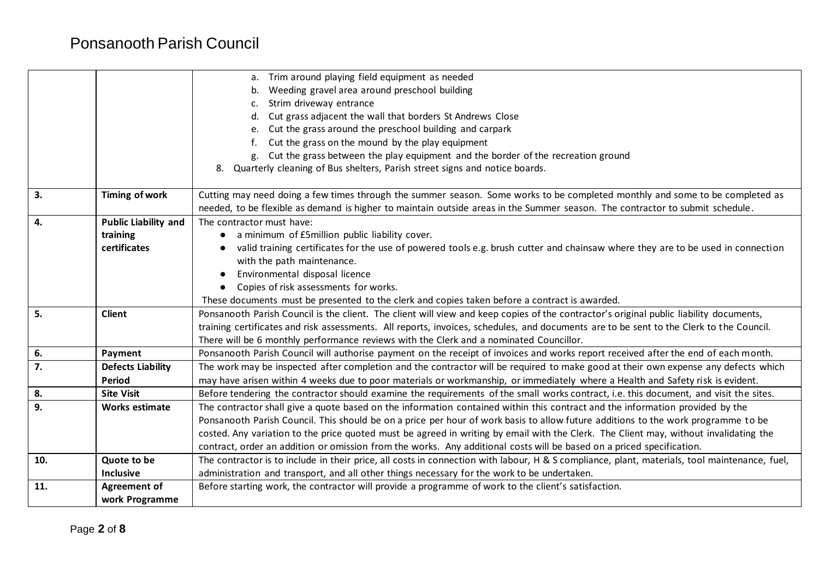|     |                             | a. Trim around playing field equipment as needed                                                                                              |  |  |  |  |  |  |  |  |
|-----|-----------------------------|-----------------------------------------------------------------------------------------------------------------------------------------------|--|--|--|--|--|--|--|--|
|     |                             | Weeding gravel area around preschool building<br>b.                                                                                           |  |  |  |  |  |  |  |  |
|     |                             | Strim driveway entrance                                                                                                                       |  |  |  |  |  |  |  |  |
|     |                             | Cut grass adjacent the wall that borders St Andrews Close<br>d.                                                                               |  |  |  |  |  |  |  |  |
|     |                             | Cut the grass around the preschool building and carpark<br>e.                                                                                 |  |  |  |  |  |  |  |  |
|     |                             | Cut the grass on the mound by the play equipment                                                                                              |  |  |  |  |  |  |  |  |
|     |                             | Cut the grass between the play equipment and the border of the recreation ground<br>g.                                                        |  |  |  |  |  |  |  |  |
|     |                             | 8. Quarterly cleaning of Bus shelters, Parish street signs and notice boards.                                                                 |  |  |  |  |  |  |  |  |
|     |                             |                                                                                                                                               |  |  |  |  |  |  |  |  |
| 3.  | Timing of work              | Cutting may need doing a few times through the summer season. Some works to be completed monthly and some to be completed as                  |  |  |  |  |  |  |  |  |
|     |                             | needed, to be flexible as demand is higher to maintain outside areas in the Summer season. The contractor to submit schedule.                 |  |  |  |  |  |  |  |  |
| 4.  | <b>Public Liability and</b> | The contractor must have:                                                                                                                     |  |  |  |  |  |  |  |  |
|     | training                    | a minimum of £5million public liability cover.                                                                                                |  |  |  |  |  |  |  |  |
|     | certificates                | valid training certificates for the use of powered tools e.g. brush cutter and chainsaw where they are to be used in connection               |  |  |  |  |  |  |  |  |
|     |                             | with the path maintenance.                                                                                                                    |  |  |  |  |  |  |  |  |
|     |                             | Environmental disposal licence                                                                                                                |  |  |  |  |  |  |  |  |
|     |                             | Copies of risk assessments for works.                                                                                                         |  |  |  |  |  |  |  |  |
|     |                             | These documents must be presented to the clerk and copies taken before a contract is awarded.                                                 |  |  |  |  |  |  |  |  |
| 5.  | <b>Client</b>               | Ponsanooth Parish Council is the client. The client will view and keep copies of the contractor's original public liability documents,        |  |  |  |  |  |  |  |  |
|     |                             | training certificates and risk assessments. All reports, invoices, schedules, and documents are to be sent to the Clerk to the Council.       |  |  |  |  |  |  |  |  |
|     |                             | There will be 6 monthly performance reviews with the Clerk and a nominated Councillor.                                                        |  |  |  |  |  |  |  |  |
| 6.  | Payment                     | Ponsanooth Parish Council will authorise payment on the receipt of invoices and works report received after the end of each month.            |  |  |  |  |  |  |  |  |
| 7.  | <b>Defects Liability</b>    | The work may be inspected after completion and the contractor will be required to make good at their own expense any defects which            |  |  |  |  |  |  |  |  |
|     | <b>Period</b>               | may have arisen within 4 weeks due to poor materials or workmanship, or immediately where a Health and Safety risk is evident.                |  |  |  |  |  |  |  |  |
| 8.  | <b>Site Visit</b>           | Before tendering the contractor should examine the requirements of the small works contract, i.e. this document, and visit the sites.         |  |  |  |  |  |  |  |  |
| 9.  | <b>Works estimate</b>       | The contractor shall give a quote based on the information contained within this contract and the information provided by the                 |  |  |  |  |  |  |  |  |
|     |                             | Ponsanooth Parish Council. This should be on a price per hour of work basis to allow future additions to the work programme to be             |  |  |  |  |  |  |  |  |
|     |                             | costed. Any variation to the price quoted must be agreed in writing by email with the Clerk. The Client may, without invalidating the         |  |  |  |  |  |  |  |  |
|     |                             | contract, order an addition or omission from the works. Any additional costs will be based on a priced specification.                         |  |  |  |  |  |  |  |  |
| 10. | Quote to be                 | The contractor is to include in their price, all costs in connection with labour, H & S compliance, plant, materials, tool maintenance, fuel, |  |  |  |  |  |  |  |  |
|     | Inclusive                   | administration and transport, and all other things necessary for the work to be undertaken.                                                   |  |  |  |  |  |  |  |  |
| 11. | Agreement of                | Before starting work, the contractor will provide a programme of work to the client's satisfaction.                                           |  |  |  |  |  |  |  |  |
|     | work Programme              |                                                                                                                                               |  |  |  |  |  |  |  |  |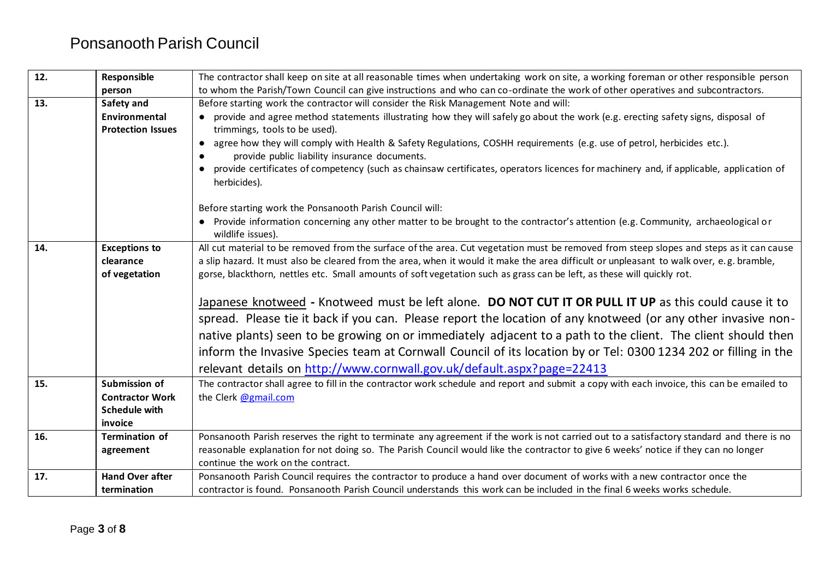| 12. | Responsible              | The contractor shall keep on site at all reasonable times when undertaking work on site, a working foreman or other responsible person                                    |
|-----|--------------------------|---------------------------------------------------------------------------------------------------------------------------------------------------------------------------|
|     | person                   | to whom the Parish/Town Council can give instructions and who can co-ordinate the work of other operatives and subcontractors.                                            |
| 13. | Safety and               | Before starting work the contractor will consider the Risk Management Note and will:                                                                                      |
|     | Environmental            | provide and agree method statements illustrating how they will safely go about the work (e.g. erecting safety signs, disposal of                                          |
|     | <b>Protection Issues</b> | trimmings, tools to be used).                                                                                                                                             |
|     |                          | agree how they will comply with Health & Safety Regulations, COSHH requirements (e.g. use of petrol, herbicides etc.).<br>provide public liability insurance documents.   |
|     |                          | provide certificates of competency (such as chainsaw certificates, operators licences for machinery and, if applicable, application of<br>herbicides).                    |
|     |                          | Before starting work the Ponsanooth Parish Council will:                                                                                                                  |
|     |                          | • Provide information concerning any other matter to be brought to the contractor's attention (e.g. Community, archaeological or<br>wildlife issues).                     |
| 14. | <b>Exceptions to</b>     | All cut material to be removed from the surface of the area. Cut vegetation must be removed from steep slopes and steps as it can cause                                   |
|     | clearance                | a slip hazard. It must also be cleared from the area, when it would it make the area difficult or unpleasant to walk over, e.g. bramble,                                  |
|     | of vegetation            | gorse, blackthorn, nettles etc. Small amounts of soft vegetation such as grass can be left, as these will quickly rot.                                                    |
|     |                          |                                                                                                                                                                           |
|     |                          | Japanese knotweed - Knotweed must be left alone. DO NOT CUT IT OR PULL IT UP as this could cause it to                                                                    |
|     |                          | spread. Please tie it back if you can. Please report the location of any knotweed (or any other invasive non-                                                             |
|     |                          | native plants) seen to be growing on or immediately adjacent to a path to the client. The client should then                                                              |
|     |                          | inform the Invasive Species team at Cornwall Council of its location by or Tel: 0300 1234 202 or filling in the                                                           |
|     |                          |                                                                                                                                                                           |
|     |                          | relevant details on http://www.cornwall.gov.uk/default.aspx?page=22413                                                                                                    |
| 15. | Submission of            | The contractor shall agree to fill in the contractor work schedule and report and submit a copy with each invoice, this can be emailed to                                 |
|     | <b>Contractor Work</b>   | the Clerk @gmail.com                                                                                                                                                      |
|     | <b>Schedule with</b>     |                                                                                                                                                                           |
|     | invoice                  |                                                                                                                                                                           |
| 16. | <b>Termination of</b>    | Ponsanooth Parish reserves the right to terminate any agreement if the work is not carried out to a satisfactory standard and there is no                                 |
|     | agreement                | reasonable explanation for not doing so. The Parish Council would like the contractor to give 6 weeks' notice if they can no longer<br>continue the work on the contract. |
| 17. | <b>Hand Over after</b>   | Ponsanooth Parish Council requires the contractor to produce a hand over document of works with a new contractor once the                                                 |
|     | termination              | contractor is found. Ponsanooth Parish Council understands this work can be included in the final 6 weeks works schedule.                                                 |
|     |                          |                                                                                                                                                                           |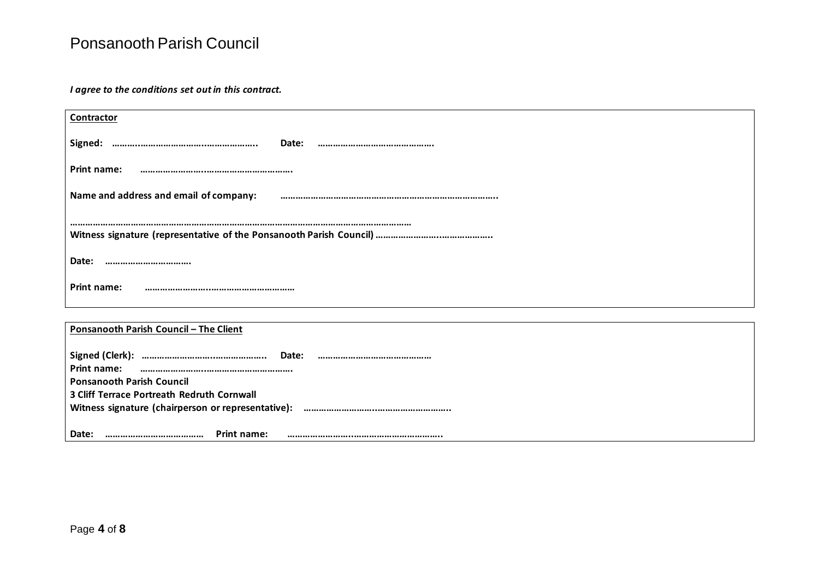*I agree to the conditions set out in this contract.*

| Contractor                             |  |  |  |  |  |
|----------------------------------------|--|--|--|--|--|
| Signed:<br>Date:                       |  |  |  |  |  |
| <b>Print name:</b>                     |  |  |  |  |  |
| Name and address and email of company: |  |  |  |  |  |
|                                        |  |  |  |  |  |
| Date:<br>                              |  |  |  |  |  |
| Print name:                            |  |  |  |  |  |
|                                        |  |  |  |  |  |
| Ponsanooth Parish Council - The Client |  |  |  |  |  |

|             |                                                    |                    | Date: |  |  |  |
|-------------|----------------------------------------------------|--------------------|-------|--|--|--|
| Print name: |                                                    |                    |       |  |  |  |
|             | <b>Ponsanooth Parish Council</b>                   |                    |       |  |  |  |
|             | 3 Cliff Terrace Portreath Redruth Cornwall         |                    |       |  |  |  |
|             | Witness signature (chairperson or representative): |                    |       |  |  |  |
|             |                                                    |                    |       |  |  |  |
| Date:       |                                                    | <b>Print name:</b> |       |  |  |  |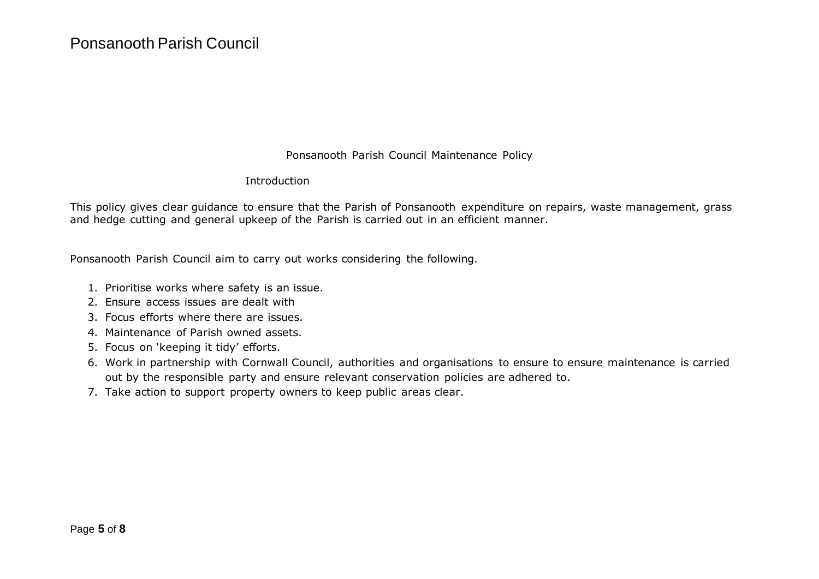Ponsanooth Parish Council Maintenance Policy

#### Introduction

This policy gives clear guidance to ensure that the Parish of Ponsanooth expenditure on repairs, waste management, grass and hedge cutting and general upkeep of the Parish is carried out in an efficient manner.

Ponsanooth Parish Council aim to carry out works considering the following.

- 1. Prioritise works where safety is an issue.
- 2. Ensure access issues are dealt with
- 3. Focus efforts where there are issues.
- 4. Maintenance of Parish owned assets.
- 5. Focus on 'keeping it tidy' efforts.
- 6. Work in partnership with Cornwall Council, authorities and organisations to ensure to ensure maintenance is carried out by the responsible party and ensure relevant conservation policies are adhered to.
- 7. Take action to support property owners to keep public areas clear.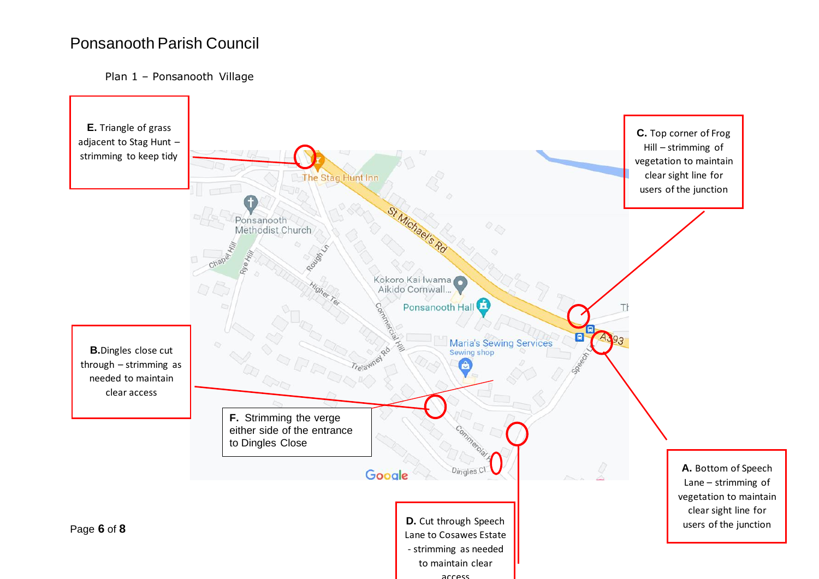#### Plan 1 – Ponsanooth Village

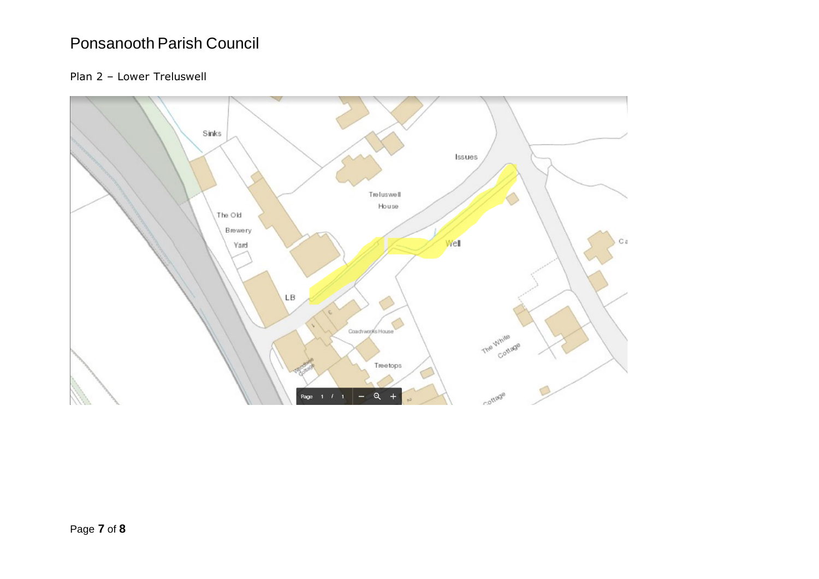### Plan 2 – Lower Treluswell